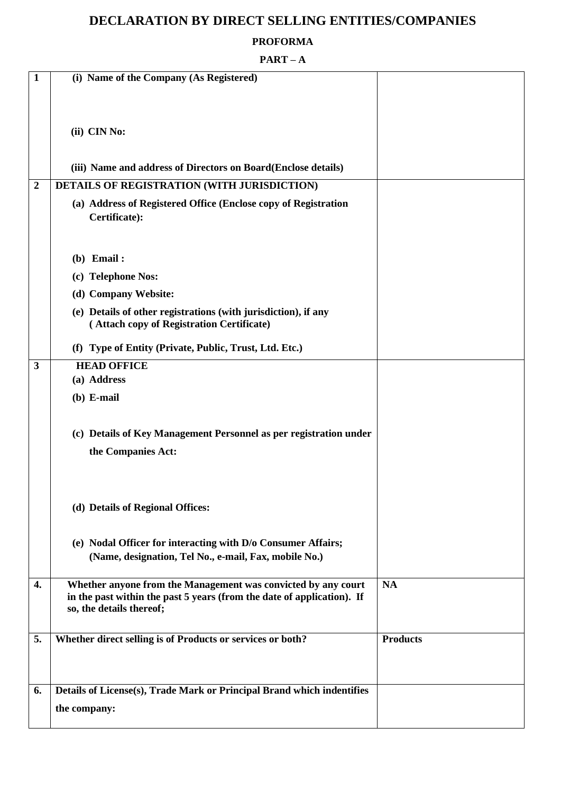# **DECLARATION BY DIRECT SELLING ENTITIES/COMPANIES**

#### **PROFORMA**

#### **PART – A**

| 1                       | (i) Name of the Company (As Registered)                                                                                                                             |                 |
|-------------------------|---------------------------------------------------------------------------------------------------------------------------------------------------------------------|-----------------|
|                         | (ii) CIN No:                                                                                                                                                        |                 |
|                         | (iii) Name and address of Directors on Board(Enclose details)                                                                                                       |                 |
| $\boldsymbol{2}$        | DETAILS OF REGISTRATION (WITH JURISDICTION)                                                                                                                         |                 |
|                         | (a) Address of Registered Office (Enclose copy of Registration<br>Certificate):                                                                                     |                 |
|                         | $(b)$ Email:                                                                                                                                                        |                 |
|                         | (c) Telephone Nos:                                                                                                                                                  |                 |
|                         | (d) Company Website:                                                                                                                                                |                 |
|                         | (e) Details of other registrations (with jurisdiction), if any<br>(Attach copy of Registration Certificate)                                                         |                 |
|                         | (f) Type of Entity (Private, Public, Trust, Ltd. Etc.)                                                                                                              |                 |
| $\overline{\mathbf{3}}$ | <b>HEAD OFFICE</b>                                                                                                                                                  |                 |
|                         | (a) Address                                                                                                                                                         |                 |
|                         | $(b)$ E-mail                                                                                                                                                        |                 |
|                         | (c) Details of Key Management Personnel as per registration under                                                                                                   |                 |
|                         | the Companies Act:                                                                                                                                                  |                 |
|                         | (d) Details of Regional Offices:                                                                                                                                    |                 |
|                         | (e) Nodal Officer for interacting with D/o Consumer Affairs;<br>(Name, designation, Tel No., e-mail, Fax, mobile No.)                                               |                 |
| 4.                      | Whether anyone from the Management was convicted by any court<br>in the past within the past 5 years (from the date of application). If<br>so, the details thereof; | <b>NA</b>       |
| 5.                      | Whether direct selling is of Products or services or both?                                                                                                          | <b>Products</b> |
| 6.                      | Details of License(s), Trade Mark or Principal Brand which indentifies                                                                                              |                 |
|                         | the company:                                                                                                                                                        |                 |
|                         |                                                                                                                                                                     |                 |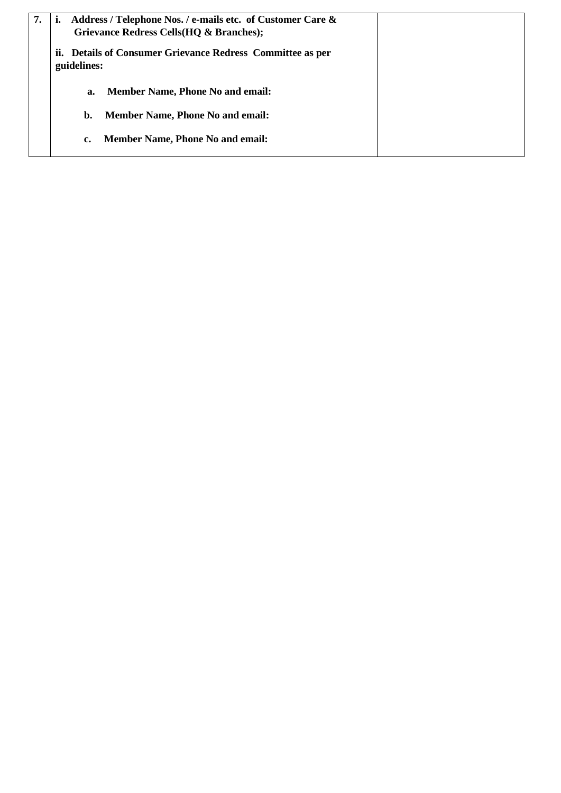| 7. |                                                                           | Address / Telephone Nos. / e-mails etc. of Customer Care &<br>Grievance Redress Cells (HQ & Branches); |  |
|----|---------------------------------------------------------------------------|--------------------------------------------------------------------------------------------------------|--|
|    | ii. Details of Consumer Grievance Redress Committee as per<br>guidelines: |                                                                                                        |  |
|    | a.                                                                        | <b>Member Name, Phone No and email:</b>                                                                |  |
|    | b.                                                                        | <b>Member Name, Phone No and email:</b>                                                                |  |
|    | c.                                                                        | <b>Member Name, Phone No and email:</b>                                                                |  |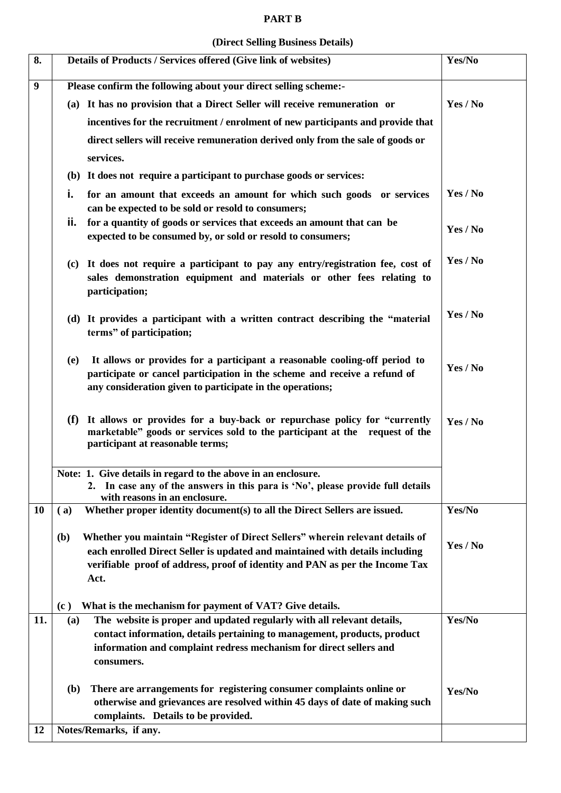#### **PART B**

#### **(Direct Selling Business Details)**

| 8.               | Details of Products / Services offered (Give link of websites)                                                                                                                                                                                               | Yes/No   |
|------------------|--------------------------------------------------------------------------------------------------------------------------------------------------------------------------------------------------------------------------------------------------------------|----------|
| $\boldsymbol{9}$ | Please confirm the following about your direct selling scheme:-                                                                                                                                                                                              |          |
|                  | (a) It has no provision that a Direct Seller will receive remuneration or                                                                                                                                                                                    | Yes / No |
|                  | incentives for the recruitment / enrolment of new participants and provide that                                                                                                                                                                              |          |
|                  | direct sellers will receive remuneration derived only from the sale of goods or                                                                                                                                                                              |          |
|                  | services.                                                                                                                                                                                                                                                    |          |
|                  | (b) It does not require a participant to purchase goods or services:                                                                                                                                                                                         |          |
|                  | i.<br>for an amount that exceeds an amount for which such goods or services<br>can be expected to be sold or resold to consumers;                                                                                                                            | Yes / No |
|                  | ii.<br>for a quantity of goods or services that exceeds an amount that can be<br>expected to be consumed by, or sold or resold to consumers;                                                                                                                 | Yes / No |
|                  | (c) It does not require a participant to pay any entry/registration fee, cost of<br>sales demonstration equipment and materials or other fees relating to<br>participation;                                                                                  | Yes / No |
|                  | (d) It provides a participant with a written contract describing the "material<br>terms" of participation;                                                                                                                                                   | Yes / No |
|                  | It allows or provides for a participant a reasonable cooling-off period to<br>(e)<br>participate or cancel participation in the scheme and receive a refund of<br>any consideration given to participate in the operations;                                  | Yes / No |
|                  | It allows or provides for a buy-back or repurchase policy for "currently<br>(f)<br>marketable" goods or services sold to the participant at the request of the<br>participant at reasonable terms;                                                           | Yes / No |
|                  | Note: 1. Give details in regard to the above in an enclosure.<br>2. In case any of the answers in this para is 'No', please provide full details<br>with reasons in an enclosure.                                                                            |          |
| 10               | Whether proper identity document(s) to all the Direct Sellers are issued.<br>(a)                                                                                                                                                                             | Yes/No   |
|                  | Whether you maintain "Register of Direct Sellers" wherein relevant details of<br>(b)<br>each enrolled Direct Seller is updated and maintained with details including<br>verifiable proof of address, proof of identity and PAN as per the Income Tax<br>Act. | Yes / No |
|                  | What is the mechanism for payment of VAT? Give details.<br>(c)                                                                                                                                                                                               |          |
| 11.              | The website is proper and updated regularly with all relevant details,<br>(a)<br>contact information, details pertaining to management, products, product<br>information and complaint redress mechanism for direct sellers and<br>consumers.                | Yes/No   |
|                  | There are arrangements for registering consumer complaints online or<br>( <b>b</b> )<br>otherwise and grievances are resolved within 45 days of date of making such<br>complaints. Details to be provided.                                                   | Yes/No   |
| 12               | Notes/Remarks, if any.                                                                                                                                                                                                                                       |          |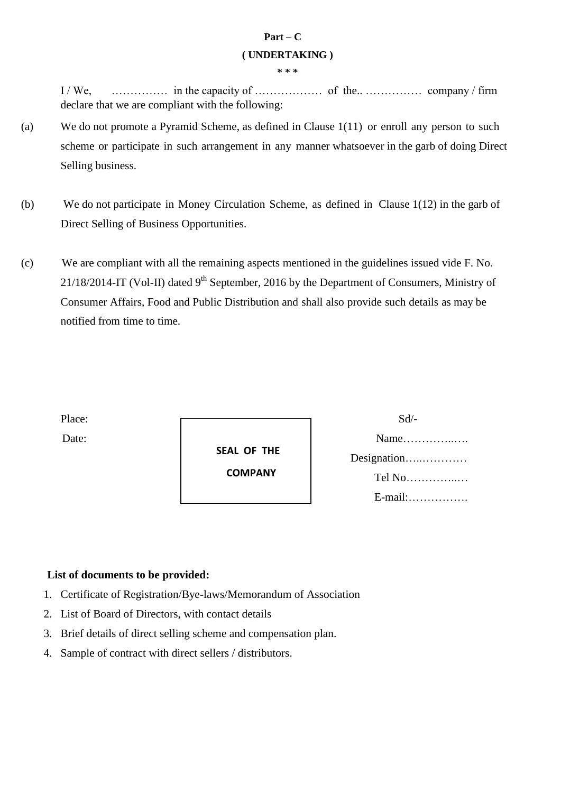# **Part – C ( UNDERTAKING )**

**\* \* \*** 

I / We, …………… in the capacity of ……………… of the.. …………… company / firm declare that we are compliant with the following:

- (a) We do not promote a Pyramid Scheme, as defined in Clause 1(11) or enroll any person to such scheme or participate in such arrangement in any manner whatsoever in the garb of doing Direct Selling business.
- (b) We do not participate in Money Circulation Scheme, as defined in Clause 1(12) in the garb of Direct Selling of Business Opportunities.
- (c) We are compliant with all the remaining aspects mentioned in the guidelines issued vide F. No.  $21/18/2014$ -IT (Vol-II) dated 9<sup>th</sup> September, 2016 by the Department of Consumers, Ministry of Consumer Affairs, Food and Public Distribution and shall also provide such details as may be notified from time to time.

 **SEAL OF THE COMPANY**

Place: Sd/- Date: Name…………..…. Designation…..………… Tel No…………..… E-mail:…………….

## **List of documents to be provided:**

- 1. Certificate of Registration/Bye-laws/Memorandum of Association
- 2. List of Board of Directors, with contact details
- 3. Brief details of direct selling scheme and compensation plan.
- 4. Sample of contract with direct sellers / distributors.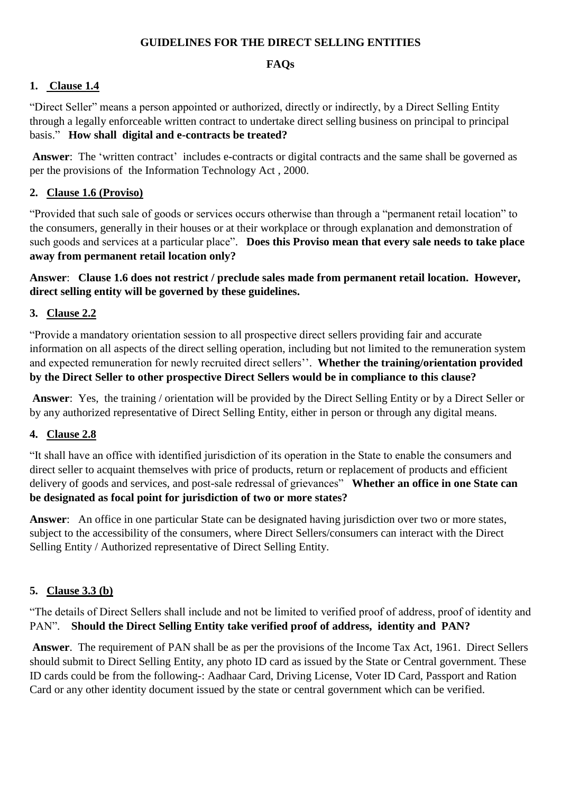#### **GUIDELINES FOR THE DIRECT SELLING ENTITIES**

#### **FAQs**

# **1. Clause 1.4**

"Direct Seller" means a person appointed or authorized, directly or indirectly, by a Direct Selling Entity through a legally enforceable written contract to undertake direct selling business on principal to principal basis." **How shall digital and e-contracts be treated?** 

**Answer:** The 'written contract' includes e-contracts or digital contracts and the same shall be governed as per the provisions of the Information Technology Act , 2000.

#### **2. Clause 1.6 (Proviso)**

"Provided that such sale of goods or services occurs otherwise than through a "permanent retail location" to the consumers, generally in their houses or at their workplace or through explanation and demonstration of such goods and services at a particular place". **Does this Proviso mean that every sale needs to take place away from permanent retail location only?** 

**Answer**: **Clause 1.6 does not restrict / preclude sales made from permanent retail location. However, direct selling entity will be governed by these guidelines.** 

## **3. Clause 2.2**

"Provide a mandatory orientation session to all prospective direct sellers providing fair and accurate information on all aspects of the direct selling operation, including but not limited to the remuneration system and expected remuneration for newly recruited direct sellers"". **Whether the training/orientation provided by the Direct Seller to other prospective Direct Sellers would be in compliance to this clause?** 

 **Answer**: Yes, the training / orientation will be provided by the Direct Selling Entity or by a Direct Seller or by any authorized representative of Direct Selling Entity, either in person or through any digital means.

## **4. Clause 2.8**

"It shall have an office with identified jurisdiction of its operation in the State to enable the consumers and direct seller to acquaint themselves with price of products, return or replacement of products and efficient delivery of goods and services, and post-sale redressal of grievances" **Whether an office in one State can be designated as focal point for jurisdiction of two or more states?** 

**Answer**: An office in one particular State can be designated having jurisdiction over two or more states, subject to the accessibility of the consumers, where Direct Sellers/consumers can interact with the Direct Selling Entity / Authorized representative of Direct Selling Entity.

#### **5. Clause 3.3 (b)**

"The details of Direct Sellers shall include and not be limited to verified proof of address, proof of identity and PAN". **Should the Direct Selling Entity take verified proof of address, identity and PAN?** 

 **Answer**. The requirement of PAN shall be as per the provisions of the Income Tax Act, 1961. Direct Sellers should submit to Direct Selling Entity, any photo ID card as issued by the State or Central government. These ID cards could be from the following-: Aadhaar Card, Driving License, Voter ID Card, Passport and Ration Card or any other identity document issued by the state or central government which can be verified.